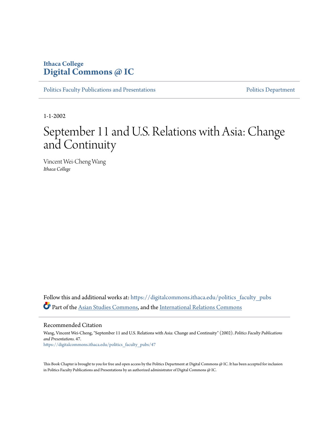# **Ithaca College [Digital Commons @ IC](https://digitalcommons.ithaca.edu?utm_source=digitalcommons.ithaca.edu%2Fpolitics_faculty_pubs%2F47&utm_medium=PDF&utm_campaign=PDFCoverPages)**

[Politics Faculty Publications and Presentations](https://digitalcommons.ithaca.edu/politics_faculty_pubs?utm_source=digitalcommons.ithaca.edu%2Fpolitics_faculty_pubs%2F47&utm_medium=PDF&utm_campaign=PDFCoverPages) **[Politics Department](https://digitalcommons.ithaca.edu/politics?utm_source=digitalcommons.ithaca.edu%2Fpolitics_faculty_pubs%2F47&utm_medium=PDF&utm_campaign=PDFCoverPages)** Politics Department

1-1-2002

# September 11 and U.S. Relations with Asia: Change and Continuity

Vincent Wei-Cheng Wang *Ithaca College*

Follow this and additional works at: [https://digitalcommons.ithaca.edu/politics\\_faculty\\_pubs](https://digitalcommons.ithaca.edu/politics_faculty_pubs?utm_source=digitalcommons.ithaca.edu%2Fpolitics_faculty_pubs%2F47&utm_medium=PDF&utm_campaign=PDFCoverPages) Part of the [Asian Studies Commons,](http://network.bepress.com/hgg/discipline/361?utm_source=digitalcommons.ithaca.edu%2Fpolitics_faculty_pubs%2F47&utm_medium=PDF&utm_campaign=PDFCoverPages) and the [International Relations Commons](http://network.bepress.com/hgg/discipline/389?utm_source=digitalcommons.ithaca.edu%2Fpolitics_faculty_pubs%2F47&utm_medium=PDF&utm_campaign=PDFCoverPages)

Recommended Citation

Wang, Vincent Wei-Cheng, "September 11 and U.S. Relations with Asia: Change and Continuity" (2002). *Politics Faculty Publications and Presentations*. 47. [https://digitalcommons.ithaca.edu/politics\\_faculty\\_pubs/47](https://digitalcommons.ithaca.edu/politics_faculty_pubs/47?utm_source=digitalcommons.ithaca.edu%2Fpolitics_faculty_pubs%2F47&utm_medium=PDF&utm_campaign=PDFCoverPages)

This Book Chapter is brought to you for free and open access by the Politics Department at Digital Commons @ IC. It has been accepted for inclusion in Politics Faculty Publications and Presentations by an authorized administrator of Digital Commons @ IC.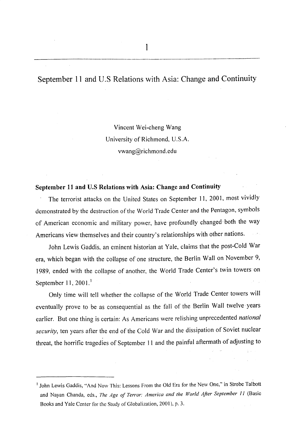# September 11 and U.S Relations with Asia: Change and Continuity

Vincent Wei-cheng Wang University of Richmond, U.S.A. vwang@richmond.edu

#### September 11 and U.S Relations with Asia: Change and Continuity

The terrorist attacks on the United States on September 11, 2001, most vividly demonstrated by the destruction of the World Trade Center and the Pentagon, symbols of American economic and military power, have profoundly changed·both the way Americans view themselves and their country's relationships with other nations.

John Lewis Gaddis, an eminent historian at Yale, claims that the post-Cold War era, which began with the collapse of one structure, the Berlin Wall on November 9, 1989, ended with the collapse of another, the World Trade Center's twin towers on September 11,  $2001$ .<sup>1</sup>

Only time will tell whether the collapse of the World Trade Center towers will eventually prove to be as consequential as the fall of the Berlin Wall twelve years earlier. But one thing is certain: As Americans were relishing unprecedented *national security,* ten years after the end of the Cold War and the dissipation of Soviet nuclear threat, the horrific tragedies of September 11 and the painful aftermath of adjusting to

<sup>&</sup>lt;sup>1</sup> John Lewis Gaddis, "And Now This: Lessons From the Old Era for the New One," in Strobe Talbott and Nayan Chanda, eds., *The Age of Terror: America and the World After September 11* (Basic Books and Yale Center for the Study of Globalization, 2001 ), p. 3.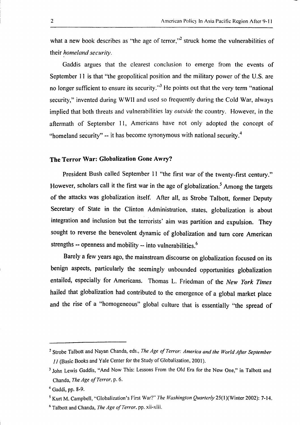what a new book describes as "the age of terror,"<sup>2</sup> struck home the vulnerabilities of their *homeland* security.

Gaddis argues that the clearest conclusion to emerge from the events of September 11 is that "the geopolitical position and the military power of the U.S. are no longer sufficient to ensure its security.<sup>3</sup> He points out that the very term "national" security," invented during WWII and used so frequently during the Cold War, always implied that both threats and vulnerabilities lay *outside* the country. However, in the aftermath of September 11, Americans have not only adopted the concept of "homeland security" -- it has become synonymous with national security.<sup>4</sup>

# The Terror War: Globalization Gone Awry?

President Bush called September 11 "the first war of the twenty-first century." However, scholars call it the first war in the age of globalization.<sup>5</sup> Among the targets of the attacks was globalization itself. After all, as Strobe Talbott, former Deputy Secretary of State in the Clinton Administration, states, globalization is about integration and inclusion but the terrorists' aim was partition and expulsion. They sought to reverse the benevolent dynamic of globalization and turn core American strengths  $-$  openness and mobility  $-$  into vulnerabilities.<sup>6</sup>

Barely a few years ago, the mainstream discourse on globalization focused on its benign aspects, particularly the seemingly unbounded opportunities globalization entailed, especially for Americans. Thomas L. Friedman of the *New York Times*  hailed that globalization had contributed to the emergence of a global market place and the rise of a "homogeneous" global culture that is essentially "the spread of

 $\Box$ 

<sup>2</sup> Strobe Talbott and Nayan Chanda, eds., *The Age of Terror: America and the World After September*  11 (Basic Books and Yale Center for the Study of Globalization, 200 I).

<sup>&</sup>lt;sup>3</sup> John Lewis Gaddis, "And Now This: Lessons From the Old Era for the New One," in Talbott and Chanda, *The Age of Terror,* p. 6.

<sup>4</sup> Gaddi, pp. 8-9.

<sup>&</sup>lt;sup>5</sup> Kurt M. Campbell, "Globalization's First War?" *The Washington Quarterly* 25(1)(Winter 2002): 7-14. 6 Talbott and Chanda, *The Age of Terror.* pp. xii-xiii.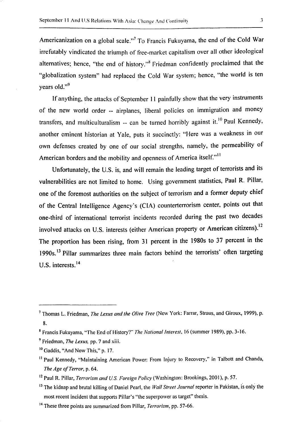Americanization on a global scale."<sup>7</sup> To Francis Fukuyama, the end of the Cold War irrefutably vindicated the triumph of free-market capitalism over all other ideological alternatives; hence, "the end of history."8 Friedman confidently proclaimed that the "globalization system" had replaced the Cold War system; hence, "the world is ten years old."<sup>9</sup>

If anything, the attacks of September 11 painfully show that the very instruments of the new world order -- airplanes, liberal policies on immigration and money transfers, and multiculturalism  $-$  can be turned horribly against it.<sup>10</sup> Paul Kennedy, another eminent historian at Yale, puts it succinctly: "Here was a weakness in our own defenses created by one of our social strengths, namely, the permeability of American borders and the mobility and openness of America itself."<sup>11</sup>

Unfortunately, the U.S. is, and will remain the leading target of terrorists and its vulnerabilities are not limited to home. Using government statistics, Paul R. Pillar, one of the foremost authorities on the subject of terrorism and a former deputy chief of the Central Intelligence Agency's (CIA) counterterrorism center, points out that one-third of international terrorist incidents recorded during the past two decades involved attacks on U.S. interests (either American property or American citizens).<sup>12</sup> The proportion has been rising, from 31 percent in the 1980s to 37 percent in the 1990s.<sup>13</sup> Pillar summarizes three main factors behind the terrorists' often targeting U.S. interests.<sup>14</sup>

<sup>7</sup> Thomas L. Friedman, *The Lexus and the Olive Tree* (New York: Farrar, Straus, and Giroux, 1999), p. 8.

<sup>8</sup> Francis Fukuyama, "The End of History?" *The National Interest.* 16 (summer 1989). pp. 3-16.

<sup>9</sup> Friedman, *The Lexus,* pp. 7 and xiii.

<sup>10</sup> Gaddis, "And Now This," p. 17.

<sup>&</sup>lt;sup>11</sup> Paul Kennedy, "Maintaining American Power: From Injury to Recovery," in Talbott and Chanda, *The Age of Terror,* p. 64.

<sup>12</sup> Paul R. Pillar, *Terrorism and U.S. Foreign Policy* (Washington: Brookings, 2001 ), p. 57.

<sup>13</sup> The kidnap and brutal killing of Daniel Pearl, the *Wall Street Journal* reporter in Pakistan, is only the most recent incident that supports Pillar's "the superpower as target" thesis.

<sup>14</sup> These three points are summarized from Pillar, *Terrorism,* pp. 57-66.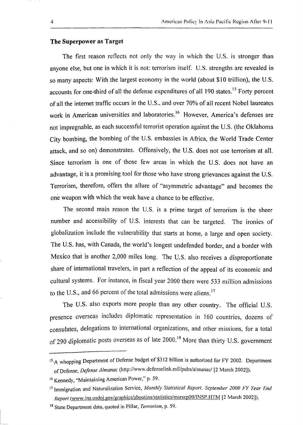## **The Superpower as Target**

The first reason reflects not only the way in which the U.S. is stronger than anyone else, but one in which it is not: terrorism itself. U.S. strengths are revealed in so many aspects: With the largest economy in the world (about \$10 trillion), the U.S. accounts for one-third of all the defense expenditures of all  $190$  states.<sup>15</sup> Forty percent of all the internet traffic occurs in the U.S .. and over 70% of all recent Nobel laureates work in American universities and laboratories.<sup>16</sup> However, America's defenses are not impregnable, as each successful terrorist operation against the U.S. (the Oklahoma City bombing, the bombing of the U.S. embassies in Africa, the World Trade Center attack, and so on) demonstrates. Offensively, the U.S. does not use terrorism at all. Since terrorism is one of those few areas in which the U.S. does not have an advantage, it is a promising tool for those who have strong grievances against the U.S. Terrorism, therefore, offers the allure of "asymmetric advantage" and becomes the one weapon with which the weak have a chance to be effective.

The second main reason the U.S. is a prime target of terrorism is the sheer number and accessibility of U.S. interests that can be targeted. The ironies of globalization include the vulnerability that starts at home, a large and open society. The U.S. has, with Canada, the world's longest undefended border, and a border with Mexico that is another 2,000 miles long. The U.S. also receives a disproportionate share of international travelers, in part a reflection of the appeal of its economic and cultural systems. For instance, in fiscal year 2000 there were 533 million admissions to the U.S., and 66 percent of the total admissions were aliens.<sup>17</sup>

The U.S. also exports more people than any other country. The official U.S. presence overseas includes diplomatic representation in 160 countries, dozens of consulates, delegations to international organizations, and other missions, for a total of 290 diplomatic posts overseas as of late 2000.<sup>18</sup> More than thirty U.S. government

i\_

<sup>&</sup>lt;sup>15</sup>/A whopping Department of Defense budget of \$312 billion is authorized for FY 2002. Department of Defense, *Defense Almanac* (http://www.defenselink.mil/pubs/almanac/ [2 March 2002)).

<sup>16</sup> Kennedy, "Maintaining American Power," p. 59.

<sup>11</sup> Immigration and Naturalization Service, *Monthly Statistical Report, September 2000 FY Year End Report* (www.ins.usdoj.gov/graphics/aboutins/statistics/msrscpOO/INSP.HTM [2 March 2002]).

<sup>18</sup> State Department data, quoted in Pillar, *Terrorism,* p. 59.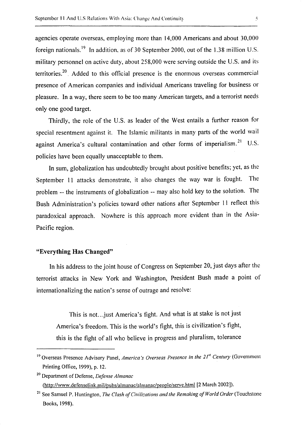agencies operate overseas, employing more than 14,000 Americans and about 30,000 foreign nationals.<sup>19</sup> In addition, as of 30 September 2000, out of the 1.38 million U.S. military personnel on active duty, about 258,000 were serving outside the U.S. and its territories.<sup>20</sup> . Added to this official presence is the enormous overseas commercial presence of American companies and individual Americans traveling for business or pleasure. In a way, there seem to be too many American targets, and a terrorist needs only one good target.

Thirdly, the role of the U.S. as leader of the West entails a further reason for special resentment against it. The Islamic militants in many parts of the world wail against America's cultural contamination and other forms of imperialism.<sup>21</sup> U.S. policies have been equally unacceptable to them.

In sum, globalization has undoubtedly brought about positive benefits; yet, as the September 11 attacks demonstrate, it also changes the way war is fought. The problem -- the instruments of globalization -- may also hold key to the solution. The Bush Administration's policies toward other nations after September 11 reflect this paradoxical approach. Nowhere is this approach more evident than in the Asia-Pacific region.

# "Everything Has Changed"

In his address to the joint house of Congress on September 20, just days after the terrorist attacks in New York and Washington, President Bush made a point of internationalizing the nation's sense of outrage and resolve:

This is not... just America's fight. And what is at stake is not just America's freedom. This is the world's fight, this is civilization's fight, this is the fight of all who believe in progress and pluralism, tolerance

<sup>&</sup>lt;sup>19</sup> Overseas Presence Advisory Panel, *America's Overseas Presence in the 21<sup>st</sup> Century* (Government Printing Office, 1999), p. 12.

<sup>20</sup> Department of Defense, *Defense Almanac*  (http://www.defensclink.mil/pubs/almanac/almanae/people/serve.html [2 March 2002]).

<sup>&</sup>lt;sup>21</sup> See Samuel P. Huntington, *The Clash of Civilizations and the Remaking of World Order* (Touchstone Books, 1998).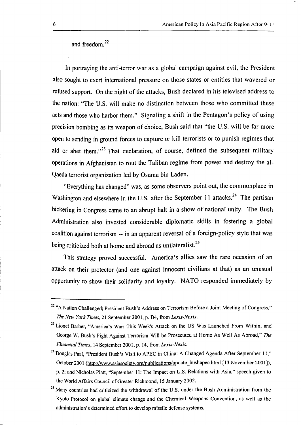and freedom. <sup>22</sup>

In portraying the anti-terror war as a global campaign against evil, the President also sought to exert international pressure on those states or entities that wavered or refused support. On the night of the attacks, Bush declared in his televised address to the nation: "The U.S. will make no distinction between those who committed these acts and those who harbor them." Signaling a shift in the Pentagon's policy of using precision bombing as its weapon of choice, Bush said that "the U.S. will be far more open to sending in ground forces to capture or kill terrorists or to punish regimes that aid or abet them."<sup>23</sup> That declaration, of course, defined the subsequent military operations in Afghanistan to rout the Taliban regime from power and destroy the al-Qaeda terrorist organization led by Osama bin Laden.

"Everything has changed" was, as some observers point out, the commonplace in Washington and elsewhere in the U.S. after the September 11 attacks.<sup>24</sup> The partisan bickering in Congress came to an abrupt halt in a show of national unity. The Bush Administration also invested considerable diplomatic skills in fostering a global coalition against terrorism -- in an apparent reversal of a foreign-policy style that was being criticized both at home and abroad as unilateralist.<sup>25</sup>

This strategy proved successful. America's allies saw the rare occasion of an attack on their protector (and one against innocent civilians at that) as an unusual opportunity to show their solidarity and loyalty. NATO responded immediately by

<sup>&</sup>lt;sup>22</sup> "A Nation Challenged; President Bush's Address on Terrorism Before a Joint Meeting of Congress," *The New York Times,* 21 September 2001, p. B4, from *Lexis-Nexis.* 

<sup>&</sup>lt;sup>23</sup> Lionel Barber, "America's War: This Week's Attack on the US Was Launched From Within, and George W. Bush's Fight Against Terrorism Will be Prosecuted at Home As Well As Abroad," *The Financial Times,* 14 September 2001, p. 14, from *Lexis-Nexis.* 

<sup>&</sup>lt;sup>24</sup> Douglas Paal, "President Bush's Visit to APEC in China: A Changed Agenda After September 11," October 2001 (http://www.asiasociety.org/publications/update\_bushapec.html [13 November 2001]), p. 2; and Nicholas Platt, "September 11: The Impact on U.S. Relations with Asia," speech given to the World Affairs Council of Greater Richmond, 15 January 2002.

<sup>&</sup>lt;sup>25</sup> Many countries had criticized the withdrawal of the U.S. under the Bush Administration from the Kyoto Protocol on global climate change and the Chemical Weapons Convention, as well as the administration's determined effort to develop missile defense systems.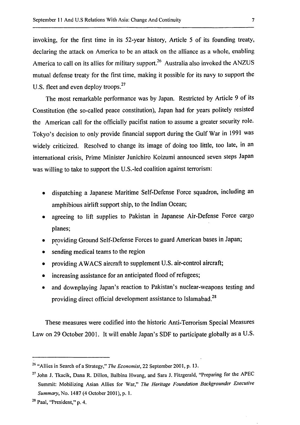invoking, for the first time in its 52-year history, Article 5 of its founding treaty, declaring the attack on America to be an attack on the alliance as a whole, enabling America to call on its allies for military support.<sup>26</sup> Australia also invoked the ANZUS mutual defense treaty for the first time, making it possible for its navy to support the U.S. fleet and even deploy troops.<sup>27</sup>

The most remarkable performance was by Japan. Restricted by Article 9 of its Constitution (the so-called peace constitution), Japan had for years politely resisted the American call for the officially pacifist nation to assume a greater security role. Tokyo's decision to only provide financial support during the Gulf War in 1991 was widely criticized. Resolved to change its image of doing too little, too late, in an international crisis, Prime Minister Junichiro Koizumi announced seven steps Japan was willing to take to support the U.S.-led coalition against terrorism:

- dispatching a Japanese Maritime Self-Defense Force squadron, including an amphibious airlift support ship, to the Indian Ocean;
- agreeing to lift supplies to Pakistan in Japanese Air-Defense Force cargo planes;
- providing Ground Self-Defense Forces to guard American bases in Japan;
- sending medical teams to the region
- providing AW ACS aircraft to supplement U.S. air-control aircraft;
- increasing assistance for an anticipated flood of refugees;
- and downplaying Japan's reaction to Pakistan's nuclear-weapons testing and providing direct official development assistance to Islamabad.<sup>28</sup>

These measures were codified into the historic Anti-Terrorism Special Measures Law on 29 October 2001. It will enable Japan's SDF to participate globally as a U.S.

<sup>&</sup>lt;sup>26</sup> "Allies in Search of a Strategy," *The Economist*, 22 September 2001, p. 13.

<sup>&</sup>lt;sup>27</sup> John J. Tkacik, Dana R. Dillon, Balbina Hwang, and Sara J. Fitzgerald, "Preparing for the APEC Summit: Mobilizing Asian Allies for War," *The Heritage Foundation Backgrounder Executive Summary,* No. 1487 (4 October 2001), p. 1.

<sup>28</sup> Paal, "President," p. 4.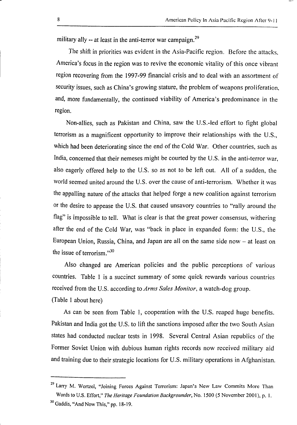military ally  $-$  at least in the anti-terror war campaign.<sup>29</sup>

The shift in priorities was evident in the Asia-Pacific region. Before the attacks, America's focus in the region was to revive the economic vitality of this once vibrant region recovering from the 1997-99 financial crisis and to deal with an assortment of security issues, such as China's growing stature, the problem of weapons proliferation, and, more fundamentally, the continued viability of America's predominance in the region.

Non-allies, such as Pakistan and China, saw the U.S.-led effort to fight global terrorism as a magnificent opportunity to improve their relationships with the U.S., which had been deteriorating since the end of the Cold War. Other countries, such as India, concerned that their nemeses might be courted by the U.S. in the anti-terror war, also eagerly offered help to the U.S. so as not to be left out. All of a sudden, the world seemed united around the U.S. over the cause of anti-terrorism. Whether it was the appalling nature of the attacks that helped forge a new coalition against terrorism or the desire to appease the U.S. that caused unsavory countries to "rally around the flag" is impossible to tell. What is clear is that the great power consensus, withering after the end of the Cold War, was "back in place in expanded form: the U.S., the European Union, Russia, China, and Japan are all on the same side now  $-$  at least on the issue of terrorism."30

Also changed are American policies and the public perceptions of various countries. Table I is a succinct summary of some quick rewards various countries received from the U.S. according to *Arms Sales Monitor,* a watch-dog group. (Table I about here)

As can be seen from Table I, cooperation with the U.S. reaped huge benefits. Pakistan and India got the U.S. to lift the sanctions imposed after the two South Asian states had conducted nuclear tests in 1998. Several Central Asian republics of the Former Soviet Union with dubious human rights records now received military aid and training due to their strategic locations for U.S. military operations in Afghanistan.

 $\overline{\phantom{a}}$ 

<sup>&</sup>lt;sup>29</sup> Larry M. Wortzel, "Joining Forces Against Terrorism: Japan's New Law Commits More Than Words to U.S. Effort," *The Heritage Foundation Backgrounder,* No. 1500 (5 November 2001), p. I.

<sup>30</sup> Gaddis, "And Now This," pp. 18-19.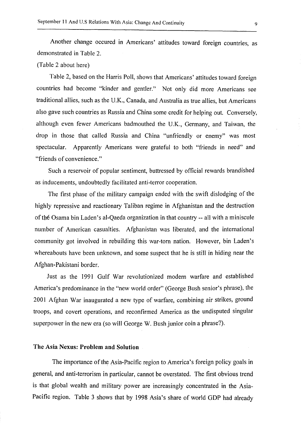Another change occured in Americans' attitudes toward foreign countries, as demonstrated in Table 2.

# (Table 2 about here)

Table 2, based on the Harris Poll, shows that Americans' attitudes toward foreign countries had become "kinder and gentler." Not only did more Americans see traditional allies, such as the U.K., Canada, and Australia as true allies, but Americans also gave such countries as Russia and China some credit for helping out. Conversely, although even fewer Americans badmouthed the U.K., Germany, and Taiwan, the drop in those that called Russia and China "unfriendly or enemy" was most spectacular. Apparently Americans were grateful to both "friends in need" and "friends of convenience."

Such a reservoir of popular sentiment, buttressed by official rewards brandished as inducements, undoubtedly facilitated anti-terror cooperation.

The first phase of the military campaign ended with the swift dislodging of the highly repressive and reactionary Taliban regime in Afghanistan and the destruction of the Osama bin Laden's al-Qaeda organization in that country -- all with a miniscule number of American casualties. Afghanistan was liberated, and the international community got involved in rebuilding this war-torn nation. However, bin Laden's whereabouts have been unknown, and some suspect that he is still in hiding near the Afghan-Pakistani border.

Just as the 1991 Gulf War revolutionized modern warfare and established America's predominance in the "new world order" (George Bush senior's phrase), the 2001 Afghan War inaugurated a new type of warfare, combining air strikes, ground troops, and covert operations, and reconfirmed America as the undisputed singular superpower in the new era (so will George W. Bush junior coin a phrase?).

#### **The** Asia Nexus: **Problem and Solution**

The importance of the Asia-Pacific region to America's foreign policy goals in general, and anti-terrorism in particular, cannot be overstated. The first obvious trend is that global wealth and military power are increasingly concentrated in the Asia-Pacific region. Table 3 shows that by 1998 Asia's share of world GDP had already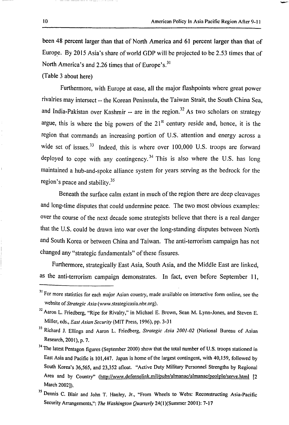been 48 percent larger than that of North America and 61 percent larger than that of Europe. By 2015 Asia's share of world GDP will be projected to be 2.53 times that of North America's and 2.26 times that of Europe's.<sup>31</sup>

(Table 3 about here)

Furthermore, with Europe at ease, all the major flashpoints where great power rivalries may intersect -- the Korean Peninsula, the Taiwan Strait, the South China Sea, and India-Pakistan over Kashmir -- are in the region.<sup>32</sup> As two scholars on strategy argue, this is where the big powers of the  $21<sup>st</sup>$  century reside and, hence, it is the region that commands an increasing portion of U.S. attention and energy across a wide set of issues.  $33$  Indeed, this is where over 100,000 U.S. troops are forward deployed to cope with any contingency.<sup>34</sup> This is also where the U.S. has long maintained a hub-and-spoke alliance system for years serving as the bedrock for the region's peace and stability.<sup>35</sup>

Beneath the surface calm extant in much of the region there are deep cleavages and long-time disputes that could undermine peace. The two most obvious examples: over the course of the next decade some strategists believe that there is a real danger that the U.S. could be drawn into war over the long-standing disputes between North and South Korea or between China and Taiwan. The anti-terrorism campaign has not changed any "strategic fundamentals" of these fissures.

Furthermore, strategically East Asia, South Asia, and the Middle East are linked, as the anti-terrorism campaign demonstrates. In fact, even before September I I,

<sup>&</sup>lt;sup>31</sup> For more statistics for each major Asian country, made available on interactive form online, see the website of *Strategic Asia* (www.strategicasia.nbr.org).

<sup>&</sup>lt;sup>32</sup> Aaron L. Friedberg, "Ripe for Rivalry," in Michael E. Brown, Sean M. Lynn-Jones, and Steven E. Miller, eds., *East Asian Security* (MIT Press, 1996), pp. 3-31

<sup>33</sup> Richard J. Ellings and Aaron L. Friedberg, *Strategic Asia 2001-02* (National Bureau of Asian Research, 2001), p. 7.

<sup>&</sup>lt;sup>34</sup> The latest Pentagon figures (September 2000) show that the total number of U.S. troops stationed in East Asia and Pacific is 101,447. Japan is home of the largest contingent, with 40, 159, followed by South Korea's 36,565, and 23,352 afloat. "Active Duty Military Personnel Strengths by Regional Area and by Country" (http://www.defenselink.mil/pubs/almanac/almanac/peolple/serve.html [2 March 2002]).

<sup>&</sup>lt;sup>35</sup> Dennis C. Blair and John T. Hanley, Jr., "From Wheels to Webs: Reconstructing Asia-Pacific Security Arrangements,": The Washington Quarterly 24(1)(Summer 2001): 7-17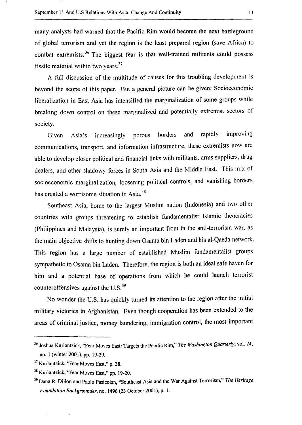many analysts had warned that the Pacific Rim would become the next battleground of global terrorism and yet the region is the least prepared region (save Africa) to combat extremists. 36 The biggest fear is that well-trained militants could possess fissile material within two years.<sup>37</sup>

A full discussion of the multitude of causes for this troubling development is beyond the scope of this paper. But a general picture can be given: Socioeconomic liberalization in East Asia has intensified the marginalization of some groups while breaking down control on these marginalized and potentially extremist sectors of society.

Given Asia's increasingly porous borders and rapidly improving communications, transport, and information infrastructure, these extremists now are able to develop closer political and financial links with militants, arms suppliers, drug dealers, and other shadowy forces in South Asia and the Middle East. This mix of socioeconomic marginalization, loosening political controls, and vanishing borders has created a worrisome situation in Asia.<sup>38</sup>

Southeast Asia, home to the largest Muslim nation (Indonesia) and two other countries with groups threatening to establish fundamentalist Islamic theocracies (Philippines and Malaysia), is surely an important front in the anti-terrorism war, as the main objective shifts to hunting down Osama bin Laden and his al-Qaeda network. This region has a large number of established Muslim fundamentalist groups sympathetic to Osama bin Laden. Therefore, the region is both an ideal safe haven for him and a potential base of operations from which he could launch terrorist counteroffensives against the U.S.<sup>39</sup>

No wonder the U.S. has quickly turned its attention to the region after the initial military victories in Afghanistan. Even though cooperation has been extended to the areas of criminal justice, money laundering, immigration control, the most important

<sup>36</sup> Joshua Kurlantzick, "Fear Moves East: Targets the Pacific Rim," *The Washington Quarterly,* vol. 24, no. l (winter 2001), pp. 19-29.

<sup>&</sup>lt;sup>37</sup> Kurlantzick, "Fear Moves East," p. 28.

<sup>38</sup> Kurlantzick, "Fear Moves East," pp. 19-20.

<sup>39</sup> Dana R. Dillon and Paolo Pasicolan, "Southeast Asia and the War Against Terrorism," *The Heritage Foundation Backgrounder,* no. 1496 (23 October 2001), p. 1.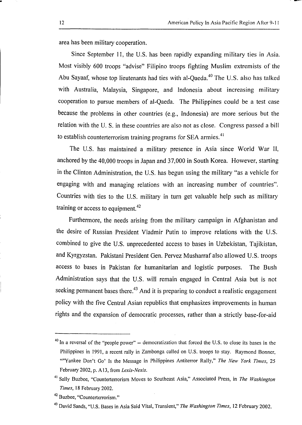area has been military cooperation.

Since September 11, the U.S. has been rapidly expanding military ties in Asia. Most visibly 600 troops "advise" Filipino troops fighting Muslim extremists of the Abu Sayaaf, whose top lieutenants had ties with al-Qaeda.<sup>40</sup> The U.S. also has talked with Australia, Malaysia, Singapore, and Indonesia about increasing military cooperation to pursue members of al-Qaeda. The Philippines could be a test case because the problems in other countries (e.g., Indonesia) are more serious but the relation with the U. S. in these countries are also not as close. Congress passed a bill to establish counterterrorism training programs for SEA armies. $41$ 

The U.S. has maintained a military presence in Asia since World War II, anchored by the 40,000 troops in Japan and 37,000 in South Korea. However, starting in the Clinton Administration, the U.S. has begun using the military "as a vehicle for engaging with and managing relations with an increasing number of countries''. Countries with ties to the U.S. military in turn get valuable help such as military training or access to equipment.<sup>42</sup>

Furthermore, the needs arising from the military campaign in Afghanistan and the desire of Russian President Vladmir Putin to improve relations with the U.S. combined to give the U.S. unprecedented access to bases in Uzbekistan, Tajikistan, and Kyrgyzstan. Pakistani President Gen. Pervez Musharraf also allowed U.S. troops access to bases in Pakistan for humanitarian and logistic purposes. The Bush Administration says that the U.S. will remain engaged in Central Asia but is not seeking permanent bases there.<sup>43</sup> And it is preparing to conduct a realistic engagement policy with the five Central Asian republics that emphasizes improvements in human rights and the expansion of democratic processes, rather than a strictly base-for-aid

 $40$  In a reversal of the "people power"  $-$  democratization that forced the U.S. to close its bases in the Philippines in 1991, a recent rally in Zambonga called on U.S. troops to stay. Raymond Bonner, ""Yankee Don't Go' Is the Message in Philippines Antiterror Rally," *The New York Times,* 25 February 2002, p. Al3, from *Lexis-Nexis.* 

<sup>&</sup>lt;sup>41</sup> Sally Buzbee, "Counterterrorism Moves to Southeast Asia," Associated Press, in *The Washington Times,* 18 February 2002.

<sup>&</sup>lt;sup>42</sup> Buzbee, "Counterterrorism."

<sup>43</sup> David Sands, "U.S. Bases in Asia Said Vital, Transient," *The Washington Times,* 12 February 2002.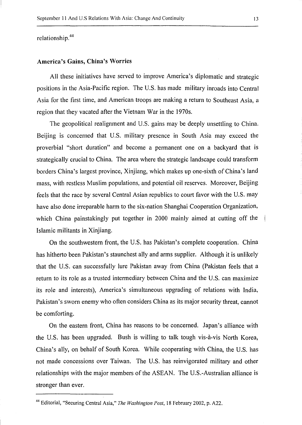relationship. <sup>44</sup>

#### America's Gains, China's Worries

All these initiatives have served to improve America's diplomatic and strategic positions in the Asia-Pacific region. The U.S. has made military inroads into Central Asia for the first time, and American troops are making a return to Southeast Asia, a region that they vacated after the Vietnam War in the 1970s.

The geopolitical realignment and U.S. gains may be deeply unsettling to China. Beijing is concerned that U.S. military presence in South Asia may exceed the proverbial "short duration" and become a permanent one on a backyard that is strategically crucial to China. The area where the strategic landscape could transform borders China's largest province, Xinjiang, which makes up one-sixth of China's land mass, with restless Muslim populations, and potential oil reserves. Moreover, Beijing feels that the race by several Central Asian republics to court favor with the U.S. may have also done irreparable harm to the six-nation Shanghai Cooperation Organization, which China painstakingly put together in 2000 mainly aimed at cutting off the Islamic militants in Xinjiang.

On the southwestern front, the U.S. has Pakistan's complete cooperation. China has hitherto been Pakistan's staunchest ally and arms supplier. Although it is unlikely that the U.S. can successfully lure Pakistan away from China (Pakistan feels that a return to its role as a trusted intermediary between China and the U.S. can maximize its role and interests), America's simultaneous upgrading of relations with India, Pakistan's sworn enemy who often considers China as its major security threat, cannot be comforting.

On the eastern front, China has reasons to be concerned. Japan's alliance with the U.S. has been upgraded. Bush is willing to talk tough vis-a-vis North Korea, China's ally, on behalf of South Korea. While cooperating with China, the U.S. has not made concessions over Taiwan. The U.S. has reinvigorated military and other relationships with the major members of the ASEAN. The U.S.-Australian alliance is stronger than ever.

<sup>44</sup> Editorial, "Securing Central Asia," *The Washington Post,* 18 February 2002, p. A22.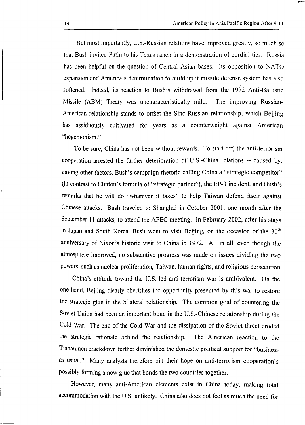But most importantly, U.S.-Russian relations have improved greatly, so much so that Bush invited Putin to his Texas ranch in a demonstration of cordial ties. Russia has been helpful on the question of Central Asian bases. Its opposition to NATO expansion and America's determination to build up it missile defense system has also softened. Indeed, its reaction to Bush's withdrawal from the 1972 Anti-Ballistic Missile (ABM) Treaty was uncharacteristically mild. The improving Russian-American relationship stands to offset the Sino-Russian relationship, which Beijing has assiduously cultivated for years as a counterweight against American "hegemonism."

To be sure, China has not been without rewards. To start off, the anti-terrorism cooperation arrested the further deterioration of U.S.-China relations -- caused by, among other factors, Bush's campaign rhetoric calling China a "strategic competitor" (in contrast to Clinton's formula of"strategic partner"), the EP-3 incident, and Bush's remarks that he will do "whatever it takes" to help Taiwan defend itself against Chinese attacks. Bush traveled to Shanghai in October 2001, one month after the September 11 attacks, to attend the APEC meeting. In February 2002, after his stays in Japan and South Korea, Bush went to visit Beijing, on the occasion of the  $30<sup>th</sup>$ anniversary of Nixon's historic visit to China in 1972. All in all, even though the atmosphere improved, no substantive progress was made on issues dividing the two powers, such as nuclear proliferation, Taiwan, human rights, and religious persecution.

China's attitude toward the U.S.-led anti-terrorism war is ambivalent. On the one hand, Beijing clearly cherishes the opportunity presented by this war to restore the strategic glue in the bilateral relationship. The common goal of countering the Soviet Union had been an important bond in the U.S.-Chinese relationship during the Cold War. The end of the Cold War and the dissipation of the Soviet threat eroded the strategic rationale behind the relationship. The American reaction to the Tiananmen crackdown further diminished the domestic political support for "business as usual." Many analysts therefore pin their hope on anti-terrorism cooperation's possibly forming a new glue that bonds the two countries together.

However, many anti-American elements exist in China today, making total accommodation with the U.S. unlikely. China also does not feel as much the need for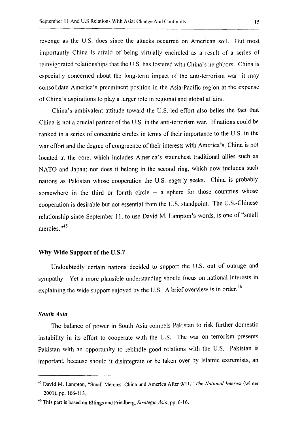revenge as the U.S. does since the attacks occurred on American soil. But most importantly China is afraid of being virtually encircled as a result of a series of reinvigorated relationships that the U.S. has fostered with China's neighbors. China is especially concerned about the long-term impact of the anti-terrorism war: it may consolidate America's preeminent position in the Asia-Pacific region at the expense of China's aspirations to play a larger role in regional and global affairs.

China's ambivalent attitude toward the U.S.-led effort also belies the fact that China is not a crucial partner of the U.S. in the anti-terrorism war. If nations could be ranked in a series of concentric circles in terms of their importance to the U.S. in the war effort and the degree of congruence of their interests with America's, China is not located at the core, which includes America's staunchest traditional allies such as NATO and Japan; nor does it belong in the second ring, which now includes such nations as Pakistan whose cooperation the U.S. eagerly seeks. China is probably somewhere in the third or fourth circle -- a sphere for those countries whose cooperation is desirable but not essential from the U.S. standpoint. The U.S.-Chinese relationship since September 11, to use David M. Lampton 's words, is one of "small mercies."<sup>45</sup>

#### Why Wide Support of the U.S.?

Undoubtedly certain nations decided to support the U.S. out of outrage and sympathy. Yet a more plausible understanding should focus on national interests in explaining the wide support enjoyed by the U.S. A brief overview is in order.<sup>46</sup>

## *South Asia*

The balance of power in South Asia compels Pakistan to risk further domestic instability in its effort to cooperate with the U.S. The war on terrorism presents Pakistan with an opportunity to rekindle good relations with the U.S. Pakistan is important, because should it disintegrate or be taken over by Islamic extremists, an

<sup>45</sup> David M. Lampton, "Small Mercies: China and America After 9/11," *The National Interest* (winter 2001), pp. 106-113.

<sup>46</sup> This part is based on Ellings and Friedberg, *Strategic Asia,* pp. 6-16.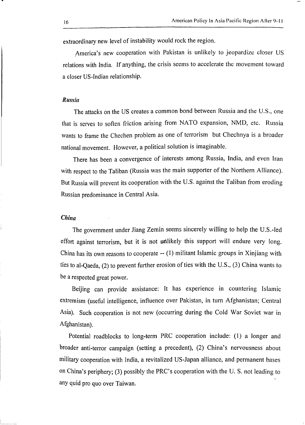extraordinary new level of instability would rock the region.

. America's new cooperation with Pakistan is unlikely to jeopardize closer US relations with India. If anything, the crisis seems to accelerate the movement toward a closer US-Indian relationship.

#### *Russia*

The attacks on the US creates a common bond between Russia and the U.S., one that is serves to soften friction arising from NATO expansion, NMD, etc. Russia wants to frame the Chechen problem as one of terrorism but Chechnya is a broader national movement. However, a political solution is imaginable.

There has been a convergence of interests among Russia, India, and even Iran with respect to the Taliban (Russia was the main supporter of the Northern Alliance). But Russia will prevent its cooperation with the U.S. against the Taliban from eroding Russian predominance in Central Asia.

#### *China*

The government under Jiang Zemin seems sincerely willing to help the U.S.-led effort against terrorism, but it is not unlikely this support will endure very long. China has its own reasons to cooperate -- (I) militant Islamic groups in Xinjiang with ties to al-Qaeda, (2) to prevent further erosion of ties with the U.S., (3) China wants to be a respected great power.

Beijing can provide assistance: It has experience in countering Islamic extremism (useful intelligence, influence over Pakistan, in turn Afghanistan; Central Asia). Such cooperation is not new (occurring during the Cold War Soviet war in Afghanistan).

Potential roadblocks to long-term PRC cooperation include: (I) a longer and broader anti-terror campaign (setting a precedent), (2) China's nervousness about military cooperation with India, a revitalized US-Japan alliance, and permanent bases on China's periphery; (3) possibly the PRC's cooperation with the U. S. not leading to any quid pro quo over Taiwan.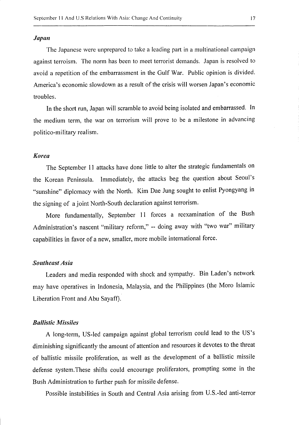#### *Japan*

The Japanese were unprepared to take a leading part in a multinational campaign against terroism. The norm has been to meet terrorist demands. Japan is resolved to avoid a repetition of the embarrassment in the Gulf War. Public opinion is divided. America's economic slowdown as a result of the crisis will worsen Japan's economic troubles.

In the short run, Japan will scramble to avoid being isolated and embarrassed. In the medium term, the war on terrorism will prove to be a milestone in advancing politico-military realism.

#### *Korea*

The September 11 attacks have done little to alter the strategic fundamentals on the Korean Peninsula. Immediately, the attacks beg the question about Seoul's "sunshine" diplomacy with the North. Kim Dae Jung sought to enlist Pyongyang in the signing of a joint North-South declaration against terrorism.

More fundamentally, September 11 forces a reexamination of the Bush Administration's nascent "military reform," -- doing away with "two war" military capabilities in favor of a new, smaller, more mobile international force.

#### *Southeast Asia*

Leaders and media responded with shock and sympathy. Bin Laden's network may have operatives in Indonesia, Malaysia, and the Philippines (the Moro Islamic Liberation Front and Abu Sayaff).

#### *Ballistic Missiles*

A long-term, US-led campaign against global terrorism could lead to the US's diminishing significantly the amount of attention and resources it devotes to the threat of ballistic missile proliferation, as well as the development of a ballistic missile defense system.These shifts could encourage proliferators, prompting some in the Bush Administration to further push for missile defense.

Possible instabilities in South and Central Asia arising from U.S.-led anti-terror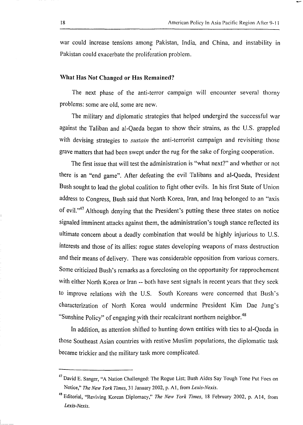war could increase tensions among Pakistan, India, and China, and instability in . Pakistan could exacerbate the proliferation problem.

#### What Has Not Changed or Has Remained?

The next phase of the anti-terror campaign will encounter several thorny problems: some are old, some are new.

The military and diplomatic strategies that helped undergird the successful war against the Taliban and al-Qaeda began to show their strains, as the U.S. grappled with devising strategies to *sustain* the anti-terrorist campaign and revisiting those grave matters that had been swept under the rug for the sake of forging cooperation.

The first issue that will test the administration is "what next?" and whether or not there is an "end game". After defeating the evil Talibans and al-Qaeda, President Bush sought to lead the global coalition to fight other evils. In his first State of Union address to Congress, Bush said that North Korea, Iran, and Iraq belonged to an "axis of evil."47 Although denying that the President's putting these three states on notice signaled imminent attacks against them, the administration's tough stance reflected its ultimate concern about a deadly combination that would be highly injurious to U.S. interests and those of its allies: rogue states developing weapons of mass destruction and their means of delivery. There was considerable opposition from various corners. Some criticized Bush's remarks as a foreclosing on the opportunity for rapprochement with either North Korea or Iran -- both have sent signals in recent years that they seek to improve relations with the U.S. South Koreans were concerned that Bush's characterization of North Korea would undermine President Kim Dae Jung's "Sunshine Policy" of engaging with their recalcitrant northern neighbor.<sup>48</sup>

In addition, as attention shifted to hunting down entities with ties to al-Qaeda in those Southeast Asian countries with restive Muslim populations, the diplomatic task became trickier and the military task more complicated.

<sup>&</sup>lt;sup>47</sup> David E. Sanger, "A Nation Challenged: The Rogue List; Bush Aides Say Tough Tone Put Foes on Notice," *The New York Times,* 31 January 2002, p. A 1, from *Lexis-Nexis.* 

<sup>48</sup> Editorial, "Reviving Korean Diplomacy," *The New York Times,* 18 February 2002, p. A 14, from *Lexis-Nexis.*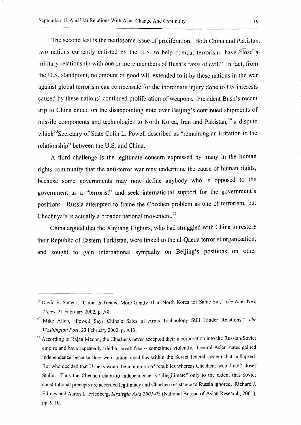The second test is the nettlesome issue of proliferation. Both China and Pakistan, two nations currently enlisted by the U.S. to help combat terrorism, have  $\angle$  close  $a$ . military relationship with one or more members of Bush's "axis of evil." In fact, from the U.S. standpoint, no amount of good will extended to it by these nations in the war against global terrorism can compensate for the inordinate injury done to US interests caused by these nations' continued proliferation of weapons. President Bush's recent trip to China ended on the disappointing note over Beijing's continued shipments of missile components and technologies to North Korea, Iran and Pakistan,<sup>49</sup> a dispute which<sup>50</sup>Secretary of State Colin L. Powell described as "remaining an irritation in the relationship" between the U.S. and China.

A third challenge is the legitimate concern expressed by many in the human rights community that the anti-terror war may undermine the cause of human rights, because some governments may now define anybody who is opposed to the government as a "terrorist" and seek international support for the government's positions. Russia attempted to frame the Chechen problem as one of terrorism, but Chechnya's is actually a broader national movement.<sup>51</sup>

China argued that the Xinjiang Uighurs, who had struggled with China to restore their Republic of Eastern Turkistan, were linked to the al-Qaeda terrorist organization, and sought to gain international sympathy on Beijing's positions on other

<sup>49</sup> David E. Sanger, "China Is Treated More Gently Than North Korea for Same Sin," *The New York Times,* 21 February 2002, p. A8.

so Mike Allen, "Powell Says China's Sales of Arms Technology Still Hinder Relations,'' *The Washington Post,* 23 February 2002, p. A 13.

<sup>&</sup>lt;sup>51</sup> According to Rajan Menon, the Chechens never accepted their incorporation into the Russian/Soviet empire and have repeatedly tried to break free -- sometimes violently. Central Asian states gained independence because they were union republics within the Soviet federal system that collapsed. But who decided that Uzbeks would be in a union of republics whereas Chechens would not? Josef Stalin. Thus the Chechen claim to independence is "illegitimate" only to the extent that Soviet constitutional precepts are accorded legitimacy and Chechen resistance to Russia ignored. Richard J. Ellings and Aaron L. Friedberg, *Strategic Asia 2001-02* (National Bureau of Asian Research, 2001), pp.9-10.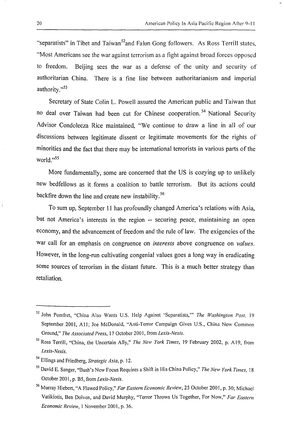"separatists" in Tibet and Taiwan<sup>52</sup>and Falun Gong followers. As Ross Terrill states, "Most Americans see the war against terrorism as a fight against broad forces opposed to freedom. Beijing sees the war as a defense of the unity and security of authoritarian China. There is a fine line between authoritarianism and imperial authority."<sup>53</sup>

Secretary of State Colin L. Powell assured the American public and Taiwan that no deal over Taiwan had been cut for Chinese cooperation.<sup>54</sup> National Security Advisor Condoleeza Rice maintained, "We continue to draw a line in all of our discussions between legitimate dissent or legitimate movements for the rights of minorities and the fact that there may be international terrorists in various parts of the world."<sup>55</sup>

More fundamentally, some are concerned that the US is cozying up to unlikely new bedfellows as it forms a coalition to battle terrorism. But its actions could backfire down the line and create new instability.<sup>56</sup>

To sum up, September 11 has profoundly changed America's relations with Asia, but not America's interests in the region -- securing peace, maintaining an open economy, and the advancement of freedom and the rule of law. The exigencies of the war call for an emphasis on congruence on *interests* above congruence on *values.*  However, in the long-run cultivating congenial values goes a long way in eradicating some sources of terrorism in the distant future. This is a much better strategy than retaliation.

<sup>52</sup> John Pomfret, "China Also Wants U.S. Help Against 'Separatists,"' *The Washington Post,* <sup>19</sup> September 2001, All; Joe McDonald, "Anti-Terror Campaign Gives U.S., China New Common Ground," *The Associated Press,* 17 October 2001, from *Lexis-Nexis.* 

<sup>53</sup> Ross Terrill, "China, the Uncertain Ally," *The New York Times,* 19 February 2002, p. A 19, from *Lexis-Nexis.* 

<sup>54</sup> Ellings and Friedberg, *Strategic Asia,* p. 12.

<sup>55</sup> David E. Sanger, "Bush's New Focus Requires a Shift in His China Policy," *The New York Times,* <sup>18</sup> October 2001, p. B5, from *Lexis-Nexis.* 

<sup>56</sup> Murray Hiebert, "A Flawed Policy," *Far Eastern Economic Review,* 25 October 2001, p. 30; Michael Vatikiotis, Ben Dolven, and David Murphy, "Terror Throws Us Together, For Now," *Far Eastern Economic Review, 1 November 2001, p. 36.*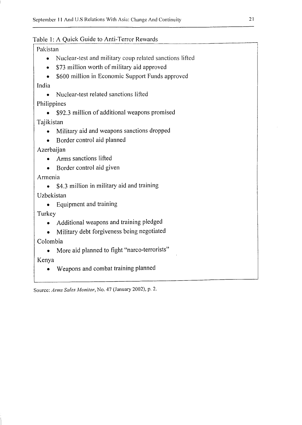# Table I: A Quick Guide to Anti-Terror Rewards

# Pakistan

- Nuclear-test and military coup related sanctions lifted
- \$73 million worth of military aid approved
- \$600 million in Economic Support Funds approved

# India

• Nuclear-test related sanctions lifted

# Philippines

• \$92.3 million of additional weapons promised

Tajikistan

- Military aid and weapons sanctions dropped
- Border control aid planned

Azerbaijan

- Arms sanctions lifted
- Border control aid given

Armenia

• \$4.3 million in military aid and training

Uzbekistan

• Equipment and training

Turkey

- Additional weapons and training pledged
- Military debt forgiveness being negotiated

Colombia

• More aid planned to fight "narco-terrorists"

Kenya

• Weapons and combat training planned

Source: *Arms Sales Monitor,* No. 47 (January 2002), p. 2.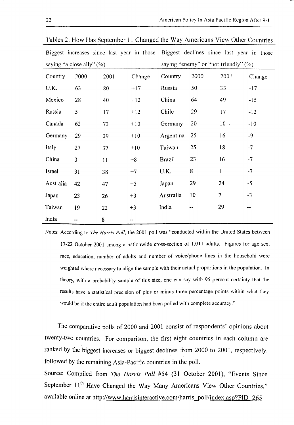|                              |      |      | Biggest increases since last year in those Biggest declines since last year in those |                                      |      |        |        |  |
|------------------------------|------|------|--------------------------------------------------------------------------------------|--------------------------------------|------|--------|--------|--|
| saying "a close ally" $(\%)$ |      |      |                                                                                      | saying "enemy" or "not friendly" (%) |      |        |        |  |
| Country                      | 2000 | 2001 | Change                                                                               | Country                              | 2000 | 2001   | Change |  |
| U.K.                         | 63   | 80   | $+17$                                                                                | Russia                               | 50   | 33     | $-17$  |  |
| Mexico                       | 28   | 40   | $+12$                                                                                | China                                | 64   | 49     | $-15$  |  |
| Russia                       | 5    | 17   | $+12$                                                                                | Chile                                | 29   | 17     | $-12$  |  |
| Canada                       | 63   | 73   | $+10$                                                                                | Germany                              | 20   | $10 -$ | $-10$  |  |
| Germany                      | 29   | 39   | $+10$                                                                                | Argentina                            | 25   | 16     | $-9$   |  |
| Italy                        | 27   | 37   | $+10$                                                                                | Taiwan                               | 25   | 18     | $-7$   |  |
| China                        | 3    | 11   | $+8$                                                                                 | <b>Brazil</b>                        | 23   | 16     | $-7$   |  |
| Israel                       | 31   | 38   | $+7$                                                                                 | U.K.                                 | 8    | 1      | $-7$   |  |
| Australia                    | 42   | 47   | $+5$                                                                                 | Japan                                | 29   | 24     | $-5$   |  |
| Japan                        | 23   | 26   | $+3$                                                                                 | Australia                            | 10   | 7      | $-3$   |  |
| Taiwan                       | 19   | 22   | $+3$                                                                                 | India                                |      | 29     |        |  |
| India                        |      | 8    | --                                                                                   |                                      |      |        |        |  |

Tables 2: How Has September 11 Changed the Way Americans View Other Countries

Notes: According to *The Harris Poll,* the 2001 poll was "conducted within the United States between 17-22 October 2001 among a nationwide cross-section of 1,011 adults. Figures for age sex, race, education, number of adults and number of voice/phone lines in the household were weighted where necessary to align the sample with their actual proportions in the population. In theory, with a probability sample of this size, one can say with 95 percent certainty that the results have a statistical precision of plus or minus three percentage points within what they would be if the entire adult population had been polled with complete accuracy."

The comparative polls of 2000 and 2001 consist of respondents' opinions about twenty-two countries. For comparison, the first eight countries in each column are ranked by the biggest increases or biggest declines from 2000 to 2001, respectively, followed by the remaining Asia-Pacific countries in the poll.

Source: Compiled from *The Harris Poll #54 (31 October 2001)*, "Events Since September  $11<sup>th</sup>$  Have Changed the Way Many Americans View Other Countries," available online at http://www.harrisinteractive.com/harris poll/index.asp?PID=265.